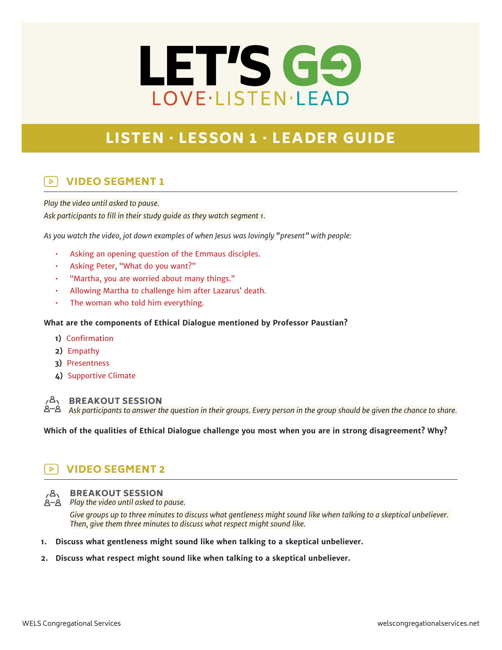# LET'S GO LOVE·LISTEN·LEAD

# LISTEN · LESSON 1 · LEADER GUIDE

### VIDEO SEGMENT 1  $\triangleright$

*Play the video until asked to pause.*

*Ask participants to fill in their study guide as they watch segment 1.*

*As you watch the video, jot down examples of when Jesus was lovingly "present" with people:*

- Asking an opening question of the Emmaus disciples.
- Asking Peter, "What do you want?"
- "Martha, you are worried about many things."
- Allowing Martha to challenge him after Lazarus' death.
- The woman who told him everything.

# **What are the components of Ethical Dialogue mentioned by Professor Paustian?**

- **1)** Confirmation
- **2)** Empathy
- **3)** Presentness
- **4)** Supportive Climate



## BREAKOUT SESSION

*Ask participants to answer the question in their groups. Every person in the group should be given the chance to share.*

**Which of the qualities of Ethical Dialogue challenge you most when you are in strong disagreement? Why?**

#### VIDEO SEGMENT 2  $\triangleright$



# BREAKOUT SESSION

*Play the video until asked to pause.*

*Give groups up to three minutes to discuss what gentleness might sound like when talking to a skeptical unbeliever. Then, give them three minutes to discuss what respect might sound like.*

- **1. Discuss what gentleness might sound like when talking to a skeptical unbeliever.**
- **2. Discuss what respect might sound like when talking to a skeptical unbeliever.**